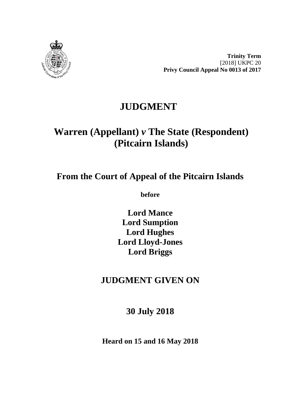

**Trinity Term** [2018] UKPC 20 **Privy Council Appeal No 0013 of 2017**

## **JUDGMENT**

# **Warren (Appellant)** *v* **The State (Respondent) (Pitcairn Islands)**

## **From the Court of Appeal of the Pitcairn Islands**

**before** 

**Lord Mance Lord Sumption Lord Hughes Lord Lloyd-Jones Lord Briggs**

## **JUDGMENT GIVEN ON**

## **30 July 2018**

**Heard on 15 and 16 May 2018**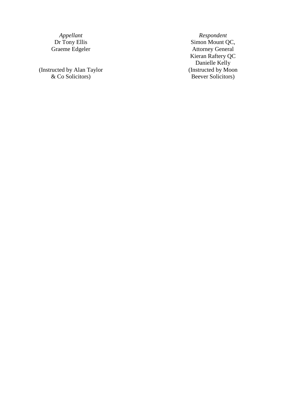(Instructed by Alan Taylor & Co Solicitors )

*Appellant Respondent*<br>Dr Tony Ellis *Respondent Simon Mount Q* Dr Tony Ellis Simon Mount QC, Graeme Edgeler Attorney General Kieran Raftery QC Danielle Kelly (Instructed by Moon Beever Solicitors )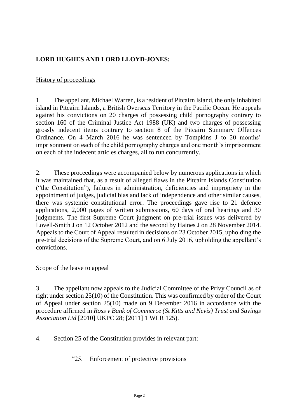## **LORD HUGHES AND LORD LLOYD-JONES:**

#### History of proceedings

1. The appellant, Michael Warren, is a resident of Pitcairn Island, the only inhabited island in Pitcairn Islands, a British Overseas Territory in the Pacific Ocean. He appeals against his convictions on 20 charges of possessing child pornography contrary to section 160 of the Criminal Justice Act 1988 (UK) and two charges of possessing grossly indecent items contrary to section 8 of the Pitcairn Summary Offences Ordinance. On 4 March 2016 he was sentenced by Tompkins J to 20 months' imprisonment on each of the child pornography charges and one month's imprisonment on each of the indecent articles charges, all to run concurrently.

2. These proceedings were accompanied below by numerous applications in which it was maintained that, as a result of alleged flaws in the Pitcairn Islands Constitution ("the Constitution"), failures in administration, deficiencies and impropriety in the appointment of judges, judicial bias and lack of independence and other similar causes, there was systemic constitutional error. The proceedings gave rise to 21 defence applications, 2,000 pages of written submissions, 60 days of oral hearings and 30 judgments. The first Supreme Court judgment on pre-trial issues was delivered by Lovell-Smith J on 12 October 2012 and the second by Haines J on 28 November 2014. Appeals to the Court of Appeal resulted in decisions on 23 October 2015, upholding the pre-trial decisions of the Supreme Court, and on 6 July 2016, upholding the appellant's convictions.

#### Scope of the leave to appeal

3. The appellant now appeals to the Judicial Committee of the Privy Council as of right under section 25(10) of the Constitution. This was confirmed by order of the Court of Appeal under section 25(10) made on 9 December 2016 in accordance with the procedure affirmed in *Ross v Bank of Commerce (St Kitts and Nevis) Trust and Savings Association Ltd* [2010] UKPC 28; [2011] 1 WLR 125).

4. Section 25 of the Constitution provides in relevant part:

"25. Enforcement of protective provisions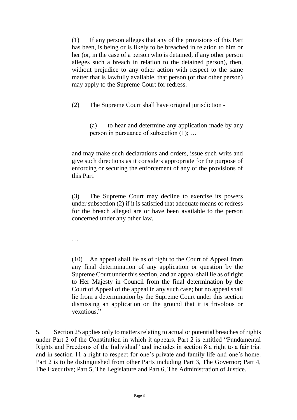(1) If any person alleges that any of the provisions of this Part has been, is being or is likely to be breached in relation to him or her (or, in the case of a person who is detained, if any other person alleges such a breach in relation to the detained person), then, without prejudice to any other action with respect to the same matter that is lawfully available, that person (or that other person) may apply to the Supreme Court for redress.

(2) The Supreme Court shall have original jurisdiction -

(a) to hear and determine any application made by any person in pursuance of subsection (1); …

and may make such declarations and orders, issue such writs and give such directions as it considers appropriate for the purpose of enforcing or securing the enforcement of any of the provisions of this Part.

(3) The Supreme Court may decline to exercise its powers under subsection (2) if it is satisfied that adequate means of redress for the breach alleged are or have been available to the person concerned under any other law.

…

(10) An appeal shall lie as of right to the Court of Appeal from any final determination of any application or question by the Supreme Court under this section, and an appeal shall lie as of right to Her Majesty in Council from the final determination by the Court of Appeal of the appeal in any such case; but no appeal shall lie from a determination by the Supreme Court under this section dismissing an application on the ground that it is frivolous or vexatious."

5. Section 25 applies only to matters relating to actual or potential breaches of rights under Part 2 of the Constitution in which it appears. Part 2 is entitled "Fundamental Rights and Freedoms of the Individual" and includes in section 8 a right to a fair trial and in section 11 a right to respect for one's private and family life and one's home. Part 2 is to be distinguished from other Parts including Part 3, The Governor; Part 4, The Executive; Part 5, The Legislature and Part 6, The Administration of Justice.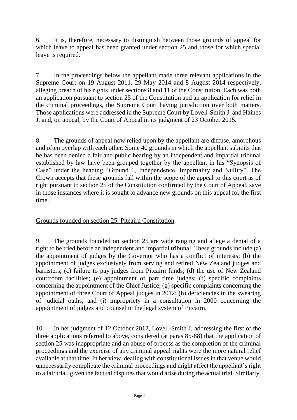6. It is, therefore, necessary to distinguish between those grounds of appeal for which leave to appeal has been granted under section 25 and those for which special leave is required.

7. In the proceedings below the appellant made three relevant applications in the Supreme Court on 19 August 2011, 29 May 2014 and 8 August 2014 respectively, alleging breach of his rights under sections 8 and 11 of the Constitution. Each was both an application pursuant to section 25 of the Constitution and an application for relief in the criminal proceedings, the Supreme Court having jurisdiction over both matters. Those applications were addressed in the Supreme Court by Lovell-Smith J. and Haines J. and, on appeal, by the Court of Appeal in its judgment of 23 October 2015.

8. The grounds of appeal now relied upon by the appellant are diffuse, amorphous and often overlap with each other. Some 40 grounds in which the appellant submits that he has been denied a fair and public hearing by an independent and impartial tribunal established by law have been grouped together by the appellant in his "Synopsis of Case" under the heading "Ground 1, Independence, Impartiality and Nullity". The Crown accepts that these grounds fall within the scope of the appeal to this court as of right pursuant to section 25 of the Constitution confirmed by the Court of Appeal, save in those instances where it is sought to advance new grounds on this appeal for the first time.

## Grounds founded on section 25, Pitcairn Constitution

9. The grounds founded on section 25 are wide ranging and allege a denial of a right to be tried before an independent and impartial tribunal. These grounds include (a) the appointment of judges by the Governor who has a conflict of interests; (b) the appointment of judges exclusively from serving and retired New Zealand judges and barristers; (c) failure to pay judges from Pitcairn funds; (d) the use of New Zealand courtroom facilities; (e) appointment of part time judges; (f) specific complaints concerning the appointment of the Chief Justice; (g) specific complaints concerning the appointment of three Court of Appeal judges in 2012; (h) deficiencies in the swearing of judicial oaths; and (i) impropriety in a consultation in 2000 concerning the appointment of judges and counsel in the legal system of Pitcairn.

10. In her judgment of 12 October 2012, Lovell-Smith J, addressing the first of the three applications referred to above, considered (at paras 85-88) that the application of section 25 was inappropriate and an abuse of process as the completion of the criminal proceedings and the exercise of any criminal appeal rights were the more natural relief available at that time. In her view, dealing with constitutional issues in that venue would unnecessarily complicate the criminal proceedings and might affect the appellant's right to a fair trial, given the factual disputes that would arise during the actual trial. Similarly,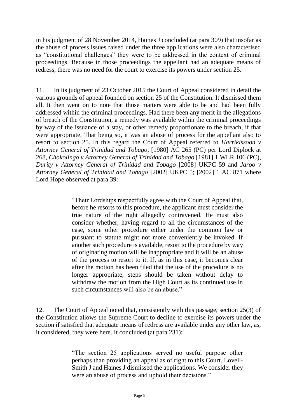in his judgment of 28 November 2014, Haines J concluded (at para 309) that insofar as the abuse of process issues raised under the three applications were also characterised as "constitutional challenges" they were to be addressed in the context of criminal proceedings. Because in those proceedings the appellant had an adequate means of redress, there was no need for the court to exercise its powers under section 25.

11. In its judgment of 23 October 2015 the Court of Appeal considered in detail the various grounds of appeal founded on section 25 of the Constitution. It dismissed them all. It then went on to note that those matters were able to be and had been fully addressed within the criminal proceedings. Had there been any merit in the allegations of breach of the Constitution, a remedy was available within the criminal proceedings by way of the issuance of a stay, or other remedy proportionate to the breach, if that were appropriate. That being so, it was an abuse of process for the appellant also to resort to section 25. In this regard the Court of Appeal referred to *Harrikissoon v Attorney General of Trinidad and Tobago*, [1980] AC 265 (PC) per Lord Diplock at 268, *Chokolingo v Attorney General of Trinidad and Tobago* [1981] 1 WLR 106 (PC), *Durity v Attorney General of Trinidad and Tobago* [2008] UKPC 59 and *Jaroo v Attorney General of Trinidad and Tobago* [2002] UKPC 5; [2002] 1 AC 871 where Lord Hope observed at para 39:

> "Their Lordships respectfully agree with the Court of Appeal that, before he resorts to this procedure, the applicant must consider the true nature of the right allegedly contravened. He must also consider whether, having regard to all the circumstances of the case, some other procedure either under the common law or pursuant to statute might not more conveniently be invoked. If another such procedure is available, resort to the procedure by way of originating motion will be inappropriate and it will be an abuse of the process to resort to it. If, as in this case, it becomes clear after the motion has been filed that the use of the procedure is no longer appropriate, steps should be taken without delay to withdraw the motion from the High Court as its continued use in such circumstances will also be an abuse."

12. The Court of Appeal noted that, consistently with this passage, section 25(3) of the Constitution allows the Supreme Court to decline to exercise its powers under the section if satisfied that adequate means of redress are available under any other law, as, it considered, they were here. It concluded (at para 231):

> "The section 25 applications served no useful purpose other perhaps than providing an appeal as of right to this Court. Lovell-Smith J and Haines J dismissed the applications. We consider they were an abuse of process and uphold their decisions."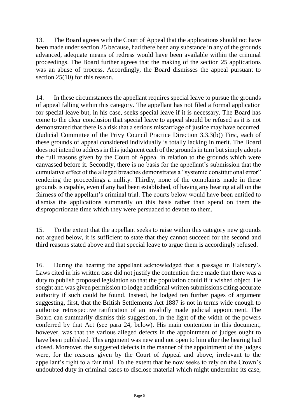13. The Board agrees with the Court of Appeal that the applications should not have been made under section 25 because, had there been any substance in any of the grounds advanced, adequate means of redress would have been available within the criminal proceedings. The Board further agrees that the making of the section 25 applications was an abuse of process. Accordingly, the Board dismisses the appeal pursuant to section 25(10) for this reason.

14. In these circumstances the appellant requires special leave to pursue the grounds of appeal falling within this category. The appellant has not filed a formal application for special leave but, in his case, seeks special leave if it is necessary. The Board has come to the clear conclusion that special leave to appeal should be refused as it is not demonstrated that there is a risk that a serious miscarriage of justice may have occurred. (Judicial Committee of the Privy Council Practice Direction 3.3.3(b)) First, each of these grounds of appeal considered individually is totally lacking in merit. The Board does not intend to address in this judgment each of the grounds in turn but simply adopts the full reasons given by the Court of Appeal in relation to the grounds which were canvassed before it. Secondly, there is no basis for the appellant's submission that the cumulative effect of the alleged breaches demonstrates a "systemic constitutional error" rendering the proceedings a nullity. Thirdly, none of the complaints made in these grounds is capable, even if any had been established, of having any bearing at all on the fairness of the appellant's criminal trial. The courts below would have been entitled to dismiss the applications summarily on this basis rather than spend on them the disproportionate time which they were persuaded to devote to them.

15. To the extent that the appellant seeks to raise within this category new grounds not argued below, it is sufficient to state that they cannot succeed for the second and third reasons stated above and that special leave to argue them is accordingly refused.

16. During the hearing the appellant acknowledged that a passage in Halsbury's Laws cited in his written case did not justify the contention there made that there was a duty to publish proposed legislation so that the population could if it wished object. He sought and was given permission to lodge additional written submissions citing accurate authority if such could be found. Instead, he lodged ten further pages of argument suggesting, first, that the British Settlements Act 1887 is not in terms wide enough to authorise retrospective ratification of an invalidly made judicial appointment. The Board can summarily dismiss this suggestion, in the light of the width of the powers conferred by that Act (see para 24, below). His main contention in this document, however, was that the various alleged defects in the appointment of judges ought to have been published. This argument was new and not open to him after the hearing had closed. Moreover, the suggested defects in the manner of the appointment of the judges were, for the reasons given by the Court of Appeal and above, irrelevant to the appellant's right to a fair trial. To the extent that he now seeks to rely on the Crown's undoubted duty in criminal cases to disclose material which might undermine its case,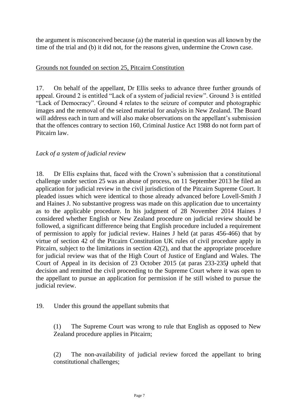the argument is misconceived because (a) the material in question was all known by the time of the trial and (b) it did not, for the reasons given, undermine the Crown case.

### Grounds not founded on section 25, Pitcairn Constitution

17. On behalf of the appellant, Dr Ellis seeks to advance three further grounds of appeal. Ground 2 is entitled "Lack of a system of judicial review". Ground 3 is entitled "Lack of Democracy". Ground 4 relates to the seizure of computer and photographic images and the removal of the seized material for analysis in New Zealand. The Board will address each in turn and will also make observations on the appellant's submission that the offences contrary to section 160, Criminal Justice Act 1988 do not form part of Pitcairn law.

## *Lack of a system of judicial review*

18. Dr Ellis explains that, faced with the Crown's submission that a constitutional challenge under section 25 was an abuse of process, on 11 September 2013 he filed an application for judicial review in the civil jurisdiction of the Pitcairn Supreme Court. It pleaded issues which were identical to those already advanced before Lovell-Smith J and Haines J. No substantive progress was made on this application due to uncertainty as to the applicable procedure. In his judgment of 28 November 2014 Haines J considered whether English or New Zealand procedure on judicial review should be followed, a significant difference being that English procedure included a requirement of permission to apply for judicial review. Haines J held (at paras 456-466) that by virtue of section 42 of the Pitcairn Constitution UK rules of civil procedure apply in Pitcairn, subject to the limitations in section 42(2), and that the appropriate procedure for judicial review was that of the High Court of Justice of England and Wales. The Court of Appeal in its decision of 23 October 2015 (at paras 233-235*)* upheld that decision and remitted the civil proceeding to the Supreme Court where it was open to the appellant to pursue an application for permission if he still wished to pursue the judicial review.

19. Under this ground the appellant submits that

(1) The Supreme Court was wrong to rule that English as opposed to New Zealand procedure applies in Pitcairn;

(2) The non-availability of judicial review forced the appellant to bring constitutional challenges;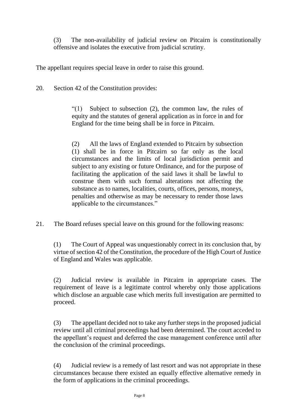(3) The non-availability of judicial review on Pitcairn is constitutionally offensive and isolates the executive from judicial scrutiny.

The appellant requires special leave in order to raise this ground.

20. Section 42 of the Constitution provides:

"(1) Subject to subsection (2), the common law, the rules of equity and the statutes of general application as in force in and for England for the time being shall be in force in Pitcairn.

(2) All the laws of England extended to Pitcairn by subsection (1) shall be in force in Pitcairn so far only as the local circumstances and the limits of local jurisdiction permit and subject to any existing or future Ordinance, and for the purpose of facilitating the application of the said laws it shall be lawful to construe them with such formal alterations not affecting the substance as to names, localities, courts, offices, persons, moneys, penalties and otherwise as may be necessary to render those laws applicable to the circumstances."

21. The Board refuses special leave on this ground for the following reasons:

(1) The Court of Appeal was unquestionably correct in its conclusion that, by virtue of section 42 of the Constitution, the procedure of the High Court of Justice of England and Wales was applicable.

(2) Judicial review is available in Pitcairn in appropriate cases. The requirement of leave is a legitimate control whereby only those applications which disclose an arguable case which merits full investigation are permitted to proceed.

(3) The appellant decided not to take any further steps in the proposed judicial review until all criminal proceedings had been determined. The court acceded to the appellant's request and deferred the case management conference until after the conclusion of the criminal proceedings.

(4) Judicial review is a remedy of last resort and was not appropriate in these circumstances because there existed an equally effective alternative remedy in the form of applications in the criminal proceedings.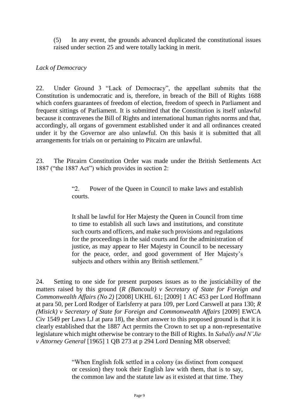(5) In any event, the grounds advanced duplicated the constitutional issues raised under section 25 and were totally lacking in merit.

## *Lack of Democracy*

22. Under Ground 3 "Lack of Democracy", the appellant submits that the Constitution is undemocratic and is, therefore, in breach of the Bill of Rights 1688 which confers guarantees of freedom of election, freedom of speech in Parliament and frequent sittings of Parliament. It is submitted that the Constitution is itself unlawful because it contravenes the Bill of Rights and international human rights norms and that, accordingly, all organs of government established under it and all ordinances created under it by the Governor are also unlawful. On this basis it is submitted that all arrangements for trials on or pertaining to Pitcairn are unlawful.

23. The Pitcairn Constitution Order was made under the British Settlements Act 1887 ("the 1887 Act") which provides in section 2:

> "2. Power of the Queen in Council to make laws and establish courts.

> It shall be lawful for Her Majesty the Queen in Council from time to time to establish all such laws and institutions, and constitute such courts and officers, and make such provisions and regulations for the proceedings in the said courts and for the administration of justice, as may appear to Her Majesty in Council to be necessary for the peace, order, and good government of Her Majesty's subjects and others within any British settlement."

24. Setting to one side for present purposes issues as to the justiciability of the matters raised by this ground (*R (Bancoult) v Secretary of State for Foreign and Commonwealth Affairs (No 2)* [2008] UKHL 61; [2009] 1 AC 453 per Lord Hoffmann at para 50, per Lord Rodger of Earlsferry at para 109, per Lord Carswell at para 130; *R (Misick) v Secretary of State for Foreign and Commonwealth Affairs* [2009] EWCA Civ 1549 per Laws LJ at para 18), the short answer to this proposed ground is that it is clearly established that the 1887 Act permits the Crown to set up a non-representative legislature which might otherwise be contrary to the Bill of Rights. In *Sabally and N'Jie v Attorney General* [1965] 1 QB 273 at p 294 Lord Denning MR observed:

> "When English folk settled in a colony (as distinct from conquest or cession) they took their English law with them, that is to say, the common law and the statute law as it existed at that time. They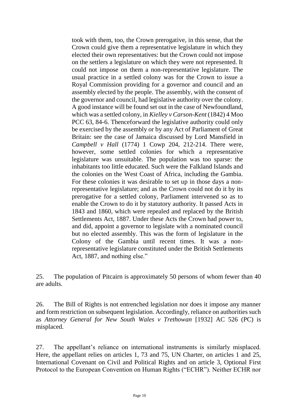took with them, too, the Crown prerogative, in this sense, that the Crown could give them a representative legislature in which they elected their own representatives: but the Crown could not impose on the settlers a legislature on which they were not represented. It could not impose on them a non-representative legislature. The usual practice in a settled colony was for the Crown to issue a Royal Commission providing for a governor and council and an assembly elected by the people. The assembly, with the consent of the governor and council, had legislative authority over the colony. A good instance will be found set out in the case of Newfoundland, which was a settled colony, in *Kielley v Carson-Kent* (1842) 4 Moo PCC 63, 84-6. Thenceforward the legislative authority could only be exercised by the assembly or by any Act of Parliament of Great Britain: see the case of Jamaica discussed by Lord Mansfield in *Campbell v Hall* [\(1774\) 1 Cowp 204, 212-214.](https://login.westlaw.co.uk/maf/wluk/app/document?src=doc&linktype=ref&context=18&crumb-action=replace&docguid=I116BBEF0E57111DAB242AFEA6182DD7E) There were, however, some settled colonies for which a representative legislature was unsuitable. The population was too sparse: the inhabitants too little educated. Such were the Falkland Islands and the colonies on the West Coast of Africa, including the Gambia. For these colonies it was desirable to set up in those days a nonrepresentative legislature; and as the Crown could not do it by its prerogative for a settled colony, Parliament intervened so as to enable the Crown to do it by statutory authority. It passed Acts in 1843 and 1860, which were repealed and replaced by the [British](https://login.westlaw.co.uk/maf/wluk/app/document?src=doc&linktype=ref&context=18&crumb-action=replace&docguid=I20722260E44811DA8D70A0E70A78ED65)  [Settlements Act, 1887.](https://login.westlaw.co.uk/maf/wluk/app/document?src=doc&linktype=ref&context=18&crumb-action=replace&docguid=I20722260E44811DA8D70A0E70A78ED65) Under these Acts the Crown had power to, and did, appoint a governor to legislate with a nominated council but no elected assembly. This was the form of legislature in the Colony of the Gambia until recent times. It was a nonrepresentative legislature constituted under the [British Settlements](https://login.westlaw.co.uk/maf/wluk/app/document?src=doc&linktype=ref&context=18&crumb-action=replace&docguid=I20722260E44811DA8D70A0E70A78ED65)  [Act, 1887,](https://login.westlaw.co.uk/maf/wluk/app/document?src=doc&linktype=ref&context=18&crumb-action=replace&docguid=I20722260E44811DA8D70A0E70A78ED65) and nothing else."

25. The population of Pitcairn is approximately 50 persons of whom fewer than 40 are adults.

26. The Bill of Rights is not entrenched legislation nor does it impose any manner and form restriction on subsequent legislation. Accordingly, reliance on authorities such as *Attorney General for New South Wales v Trethowan* [1932] AC 526 (PC) is misplaced.

27. The appellant's reliance on international instruments is similarly misplaced. Here, the appellant relies on articles 1, 73 and 75, UN Charter, on articles 1 and 25, International Covenant on Civil and Political Rights and on article 3, Optional First Protocol to the European Convention on Human Rights ("ECHR"). Neither ECHR nor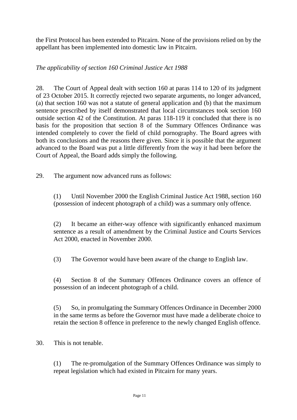the First Protocol has been extended to Pitcairn. None of the provisions relied on by the appellant has been implemented into domestic law in Pitcairn.

*The applicability of section 160 Criminal Justice Act 1988*

28. The Court of Appeal dealt with section 160 at paras 114 to 120 of its judgment of 23 October 2015. It correctly rejected two separate arguments, no longer advanced, (a) that section 160 was not a statute of general application and (b) that the maximum sentence prescribed by itself demonstrated that local circumstances took section 160 outside section 42 of the Constitution. At paras 118-119 it concluded that there is no basis for the proposition that section 8 of the Summary Offences Ordinance was intended completely to cover the field of child pornography. The Board agrees with both its conclusions and the reasons there given. Since it is possible that the argument advanced to the Board was put a little differently from the way it had been before the Court of Appeal, the Board adds simply the following.

29. The argument now advanced runs as follows:

(1) Until November 2000 the English Criminal Justice Act 1988, section 160 (possession of indecent photograph of a child) was a summary only offence.

(2) It became an either-way offence with significantly enhanced maximum sentence as a result of amendment by the Criminal Justice and Courts Services Act 2000, enacted in November 2000.

(3) The Governor would have been aware of the change to English law.

(4) Section 8 of the Summary Offences Ordinance covers an offence of possession of an indecent photograph of a child.

(5) So, in promulgating the Summary Offences Ordinance in December 2000 in the same terms as before the Governor must have made a deliberate choice to retain the section 8 offence in preference to the newly changed English offence.

30. This is not tenable.

(1) The re-promulgation of the Summary Offences Ordinance was simply to repeat legislation which had existed in Pitcairn for many years.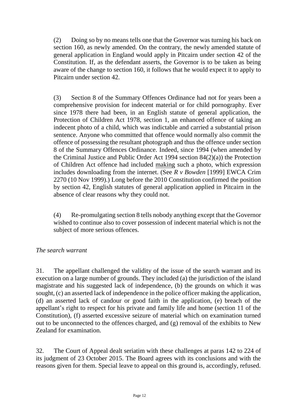(2) Doing so by no means tells one that the Governor was turning his back on section 160, as newly amended. On the contrary, the newly amended statute of general application in England would apply in Pitcairn under section 42 of the Constitution. If, as the defendant asserts, the Governor is to be taken as being aware of the change to section 160, it follows that he would expect it to apply to Pitcairn under section 42.

(3) Section 8 of the Summary Offences Ordinance had not for years been a comprehensive provision for indecent material or for child pornography. Ever since 1978 there had been, in an English statute of general application, the Protection of Children Act 1978, section 1, an enhanced offence of taking an indecent photo of a child, which was indictable and carried a substantial prison sentence. Anyone who committed that offence would normally also commit the offence of possessing the resultant photograph and thus the offence under section 8 of the Summary Offences Ordinance. Indeed, since 1994 (when amended by the Criminal Justice and Public Order Act 1994 section 84(2)(a)) the Protection of Children Act offence had included making such a photo, which expression includes downloading from the internet. (See *R v Bowden* [1999] EWCA Crim 2270 (10 Nov 1999).) Long before the 2010 Constitution confirmed the position by section 42, English statutes of general application applied in Pitcairn in the absence of clear reasons why they could not.

(4) Re-promulgating section 8 tells nobody anything except that the Governor wished to continue also to cover possession of indecent material which is not the subject of more serious offences.

## *The search warrant*

31. The appellant challenged the validity of the issue of the search warrant and its execution on a large number of grounds. They included (a) the jurisdiction of the island magistrate and his suggested lack of independence, (b) the grounds on which it was sought, (c) an asserted lack of independence in the police officer making the application, (d) an asserted lack of candour or good faith in the application, (e) breach of the appellant's right to respect for his private and family life and home (section 11 of the Constitution), (f) asserted excessive seizure of material which on examination turned out to be unconnected to the offences charged, and (g) removal of the exhibits to New Zealand for examination.

32. The Court of Appeal dealt seriatim with these challenges at paras 142 to 224 of its judgment of 23 October 2015. The Board agrees with its conclusions and with the reasons given for them. Special leave to appeal on this ground is, accordingly, refused.